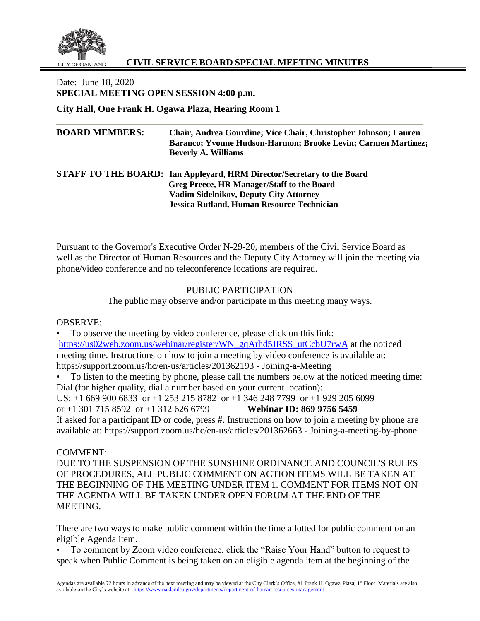

# **CIVIL SERVICE BOARD SPECIAL MEETING MINUTES**

Date: June 18, 2020 **SPECIAL MEETING OPEN SESSION 4:00 p.m.** 

**City Hall, One Frank H. Ogawa Plaza, Hearing Room 1**

| <b>BOARD MEMBERS:</b> | Chair, Andrea Gourdine; Vice Chair, Christopher Johnson; Lauren<br>Baranco; Yvonne Hudson-Harmon; Brooke Levin; Carmen Martinez;<br><b>Beverly A. Williams</b> |
|-----------------------|----------------------------------------------------------------------------------------------------------------------------------------------------------------|
|                       | <b>STAFF TO THE BOARD:</b> Ian Appleyard, HRM Director/Secretary to the Board                                                                                  |
|                       | Greg Preece, HR Manager/Staff to the Board                                                                                                                     |
|                       | <b>Vadim Sidelnikov, Deputy City Attorney</b>                                                                                                                  |
|                       | <b>Jessica Rutland, Human Resource Technician</b>                                                                                                              |

Pursuant to the Governor's Executive Order N-29-20, members of the Civil Service Board as well as the Director of Human Resources and the Deputy City Attorney will join the meeting via phone/video conference and no teleconference locations are required.

# PUBLIC PARTICIPATION

The public may observe and/or participate in this meeting many ways.

OBSERVE:

• To observe the meeting by video conference, please click on this link: [https://us02web.zoom.us/webinar/register/WN\\_gqArhd5JRSS\\_utCcbU7rwA](https://us02web.zoom.us/webinar/register/WN_gqArhd5JRSS_utCcbU7rwA) at the noticed meeting time. Instructions on how to join a meeting by video conference is available at: https://support.zoom.us/hc/en-us/articles/201362193 - Joining-a-Meeting

• To listen to the meeting by phone, please call the numbers below at the noticed meeting time: Dial (for higher quality, dial a number based on your current location): US: +1 669 900 6833 or +1 253 215 8782 or +1 346 248 7799 or +1 929 205 6099 or +1 301 715 8592 or +1 312 626 6799 **Webinar ID: 869 9756 5459** If asked for a participant ID or code, press #. Instructions on how to join a meeting by phone are available at: https://support.zoom.us/hc/en-us/articles/201362663 - Joining-a-meeting-by-phone.

### COMMENT:

DUE TO THE SUSPENSION OF THE SUNSHINE ORDINANCE AND COUNCIL'S RULES OF PROCEDURES, ALL PUBLIC COMMENT ON ACTION ITEMS WILL BE TAKEN AT THE BEGINNING OF THE MEETING UNDER ITEM 1. COMMENT FOR ITEMS NOT ON THE AGENDA WILL BE TAKEN UNDER OPEN FORUM AT THE END OF THE MEETING.

There are two ways to make public comment within the time allotted for public comment on an eligible Agenda item.

• To comment by Zoom video conference, click the "Raise Your Hand" button to request to speak when Public Comment is being taken on an eligible agenda item at the beginning of the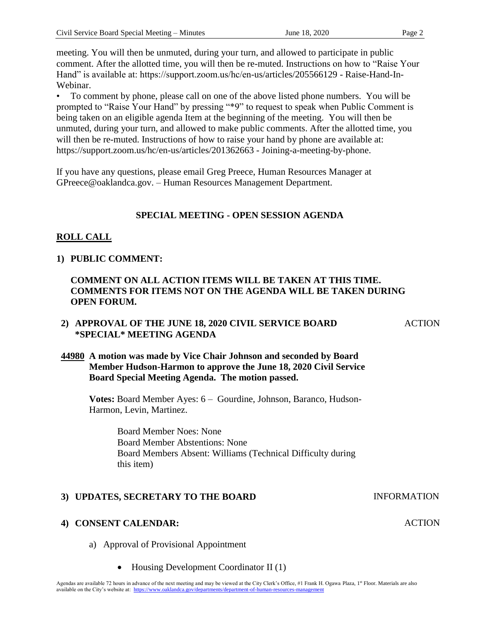meeting. You will then be unmuted, during your turn, and allowed to participate in public comment. After the allotted time, you will then be re-muted. Instructions on how to "Raise Your Hand" is available at: https://support.zoom.us/hc/en-us/articles/205566129 - Raise-Hand-In-Webinar.

• To comment by phone, please call on one of the above listed phone numbers. You will be prompted to "Raise Your Hand" by pressing "\*9" to request to speak when Public Comment is being taken on an eligible agenda Item at the beginning of the meeting. You will then be unmuted, during your turn, and allowed to make public comments. After the allotted time, you will then be re-muted. Instructions of how to raise your hand by phone are available at: https://support.zoom.us/hc/en-us/articles/201362663 - Joining-a-meeting-by-phone.

If you have any questions, please email Greg Preece, Human Resources Manager at GPreece@oaklandca.gov. – Human Resources Management Department.

# **SPECIAL MEETING - OPEN SESSION AGENDA**

# **ROLL CALL**

### **1) PUBLIC COMMENT:**

# **COMMENT ON ALL ACTION ITEMS WILL BE TAKEN AT THIS TIME. COMMENTS FOR ITEMS NOT ON THE AGENDA WILL BE TAKEN DURING OPEN FORUM.**

# **2) APPROVAL OF THE JUNE 18, 2020 CIVIL SERVICE BOARD \*SPECIAL\* MEETING AGENDA**

# **44980 A motion was made by Vice Chair Johnson and seconded by Board Member Hudson-Harmon to approve the June 18, 2020 Civil Service Board Special Meeting Agenda. The motion passed.**

**Votes:** Board Member Ayes: 6 – Gourdine, Johnson, Baranco, Hudson-Harmon, Levin, Martinez.

> Board Member Noes: None Board Member Abstentions: None Board Members Absent: Williams (Technical Difficulty during this item)

# **3) UPDATES, SECRETARY TO THE BOARD INFORMATION**

### **4) CONSENT CALENDAR:**

- a) Approval of Provisional Appointment
	- Housing Development Coordinator II (1)

#### ACTION

**ACTION**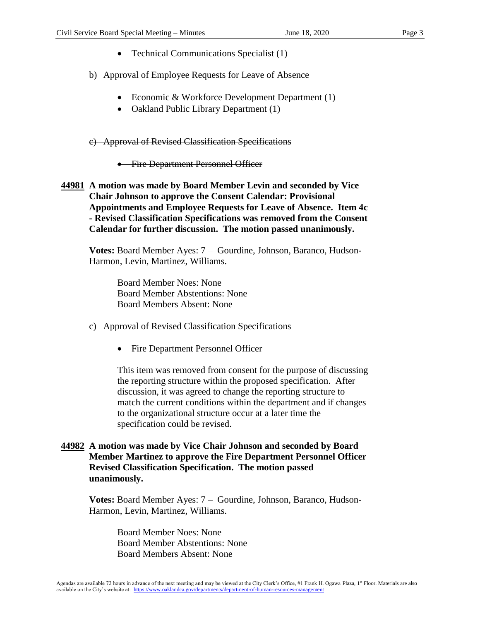- Technical Communications Specialist (1)
- b) Approval of Employee Requests for Leave of Absence
	- Economic & Workforce Development Department (1)
	- Oakland Public Library Department (1)

c) Approval of Revised Classification Specifications

- **•** Fire Department Personnel Officer
- **44981 A motion was made by Board Member Levin and seconded by Vice Chair Johnson to approve the Consent Calendar: Provisional Appointments and Employee Requests for Leave of Absence. Item 4c - Revised Classification Specifications was removed from the Consent Calendar for further discussion. The motion passed unanimously.**

**Votes:** Board Member Ayes: 7 – Gourdine, Johnson, Baranco, Hudson-Harmon, Levin, Martinez, Williams.

> Board Member Noes: None Board Member Abstentions: None Board Members Absent: None

- c) Approval of Revised Classification Specifications
	- Fire Department Personnel Officer

This item was removed from consent for the purpose of discussing the reporting structure within the proposed specification. After discussion, it was agreed to change the reporting structure to match the current conditions within the department and if changes to the organizational structure occur at a later time the specification could be revised.

**44982 A motion was made by Vice Chair Johnson and seconded by Board Member Martinez to approve the Fire Department Personnel Officer Revised Classification Specification. The motion passed unanimously.**

**Votes:** Board Member Ayes: 7 – Gourdine, Johnson, Baranco, Hudson-Harmon, Levin, Martinez, Williams.

> Board Member Noes: None Board Member Abstentions: None Board Members Absent: None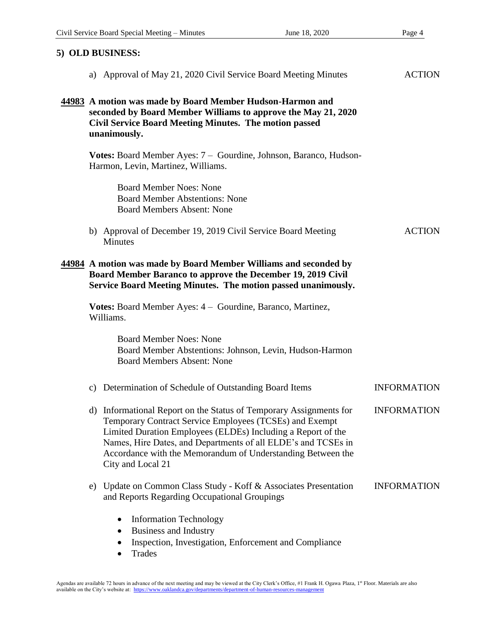| 5) OLD BUSINESS:                                                                                                                                                                                                                                                                                                                                   |                    |  |  |
|----------------------------------------------------------------------------------------------------------------------------------------------------------------------------------------------------------------------------------------------------------------------------------------------------------------------------------------------------|--------------------|--|--|
| a) Approval of May 21, 2020 Civil Service Board Meeting Minutes                                                                                                                                                                                                                                                                                    | <b>ACTION</b>      |  |  |
| 44983 A motion was made by Board Member Hudson-Harmon and<br>seconded by Board Member Williams to approve the May 21, 2020<br><b>Civil Service Board Meeting Minutes. The motion passed</b><br>unanimously.                                                                                                                                        |                    |  |  |
| Votes: Board Member Ayes: 7 - Gourdine, Johnson, Baranco, Hudson-<br>Harmon, Levin, Martinez, Williams.                                                                                                                                                                                                                                            |                    |  |  |
| <b>Board Member Noes: None</b><br><b>Board Member Abstentions: None</b><br><b>Board Members Absent: None</b>                                                                                                                                                                                                                                       |                    |  |  |
| b) Approval of December 19, 2019 Civil Service Board Meeting<br>Minutes                                                                                                                                                                                                                                                                            | <b>ACTION</b>      |  |  |
| 44984 A motion was made by Board Member Williams and seconded by<br>Board Member Baranco to approve the December 19, 2019 Civil<br>Service Board Meeting Minutes. The motion passed unanimously.                                                                                                                                                   |                    |  |  |
| <b>Votes:</b> Board Member Ayes: 4 – Gourdine, Baranco, Martinez,<br>Williams.                                                                                                                                                                                                                                                                     |                    |  |  |
| <b>Board Member Noes: None</b><br>Board Member Abstentions: Johnson, Levin, Hudson-Harmon<br><b>Board Members Absent: None</b>                                                                                                                                                                                                                     |                    |  |  |
| c) Determination of Schedule of Outstanding Board Items                                                                                                                                                                                                                                                                                            | <b>INFORMATION</b> |  |  |
| d) Informational Report on the Status of Temporary Assignments for<br>Temporary Contract Service Employees (TCSEs) and Exempt<br>Limited Duration Employees (ELDEs) Including a Report of the<br>Names, Hire Dates, and Departments of all ELDE's and TCSEs in<br>Accordance with the Memorandum of Understanding Between the<br>City and Local 21 | <b>INFORMATION</b> |  |  |
| Update on Common Class Study - Koff & Associates Presentation<br>e)<br>and Reports Regarding Occupational Groupings                                                                                                                                                                                                                                | <b>INFORMATION</b> |  |  |
| <b>Information Technology</b><br><b>Business and Industry</b><br>٠<br>Inspection, Investigation, Enforcement and Compliance                                                                                                                                                                                                                        |                    |  |  |

• Trades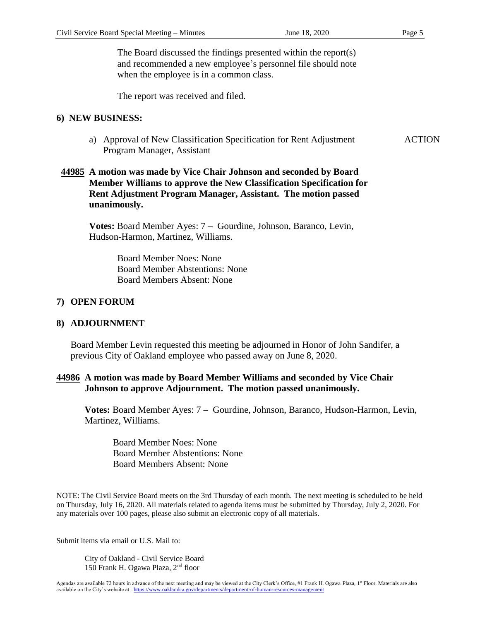**ACTION** 

The Board discussed the findings presented within the report(s) and recommended a new employee's personnel file should note when the employee is in a common class.

The report was received and filed.

#### **6) NEW BUSINESS:**

a) Approval of New Classification Specification for Rent Adjustment Program Manager, Assistant

# **44985 A motion was made by Vice Chair Johnson and seconded by Board Member Williams to approve the New Classification Specification for Rent Adjustment Program Manager, Assistant. The motion passed unanimously.**

**Votes:** Board Member Ayes: 7 – Gourdine, Johnson, Baranco, Levin, Hudson-Harmon, Martinez, Williams.

> Board Member Noes: None Board Member Abstentions: None Board Members Absent: None

### **7) OPEN FORUM**

#### **8) ADJOURNMENT**

Board Member Levin requested this meeting be adjourned in Honor of John Sandifer, a previous City of Oakland employee who passed away on June 8, 2020.

### **44986 A motion was made by Board Member Williams and seconded by Vice Chair Johnson to approve Adjournment. The motion passed unanimously.**

**Votes:** Board Member Ayes: 7 – Gourdine, Johnson, Baranco, Hudson-Harmon, Levin, Martinez, Williams.

Board Member Noes: None Board Member Abstentions: None Board Members Absent: None

NOTE: The Civil Service Board meets on the 3rd Thursday of each month. The next meeting is scheduled to be held on Thursday, July 16, 2020. All materials related to agenda items must be submitted by Thursday, July 2, 2020. For any materials over 100 pages, please also submit an electronic copy of all materials.

Submit items via email or U.S. Mail to:

City of Oakland - Civil Service Board 150 Frank H. Ogawa Plaza, 2nd floor